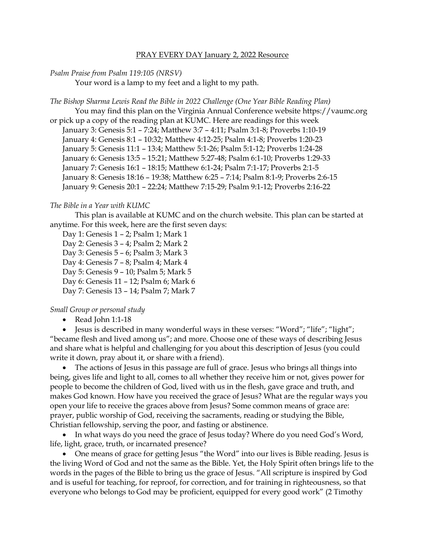#### PRAY EVERY DAY January 2, 2022 Resource

#### *Psalm Praise from Psalm 119:105 (NRSV)*

Your word is a lamp to my feet and a light to my path.

*The Bishop Sharma Lewis Read the Bible in 2022 Challenge (One Year Bible Reading Plan)* You may find this plan on the Virginia Annual Conference website [https://vaumc.org](https://vaumc.org/) or pick up a copy of the reading plan at KUMC. Here are readings for this week January 3: Genesis 5:1 – 7:24; Matthew 3:7 – 4:11; Psalm 3:1-8; Proverbs 1:10-19 January 4: Genesis 8:1 – 10:32; Matthew 4:12-25; Psalm 4:1-8; Proverbs 1:20-23

January 5: Genesis 11:1 – 13:4; Matthew 5:1-26; Psalm 5:1-12; Proverbs 1:24-28

January 6: Genesis 13:5 – 15:21; Matthew 5:27-48; Psalm 6:1-10; Proverbs 1:29-33

January 7: Genesis 16:1 – 18:15; Matthew 6:1-24; Psalm 7:1-17; Proverbs 2:1-5

January 8: Genesis 18:16 – 19:38; Matthew 6:25 – 7:14; Psalm 8:1-9; Proverbs 2:6-15

January 9: Genesis 20:1 – 22:24; Matthew 7:15-29; Psalm 9:1-12; Proverbs 2:16-22

## *The Bible in a Year with KUMC*

This plan is available at KUMC and on the church website. This plan can be started at anytime. For this week, here are the first seven days:

- Day 1: Genesis 1 2; Psalm 1; Mark 1
- Day 2: Genesis 3 4; Psalm 2; Mark 2
- Day 3: Genesis 5 6; Psalm 3; Mark 3
- Day 4: Genesis 7 8; Psalm 4; Mark 4
- Day 5: Genesis 9 10; Psalm 5; Mark 5
- Day 6: Genesis 11 12; Psalm 6; Mark 6
- Day 7: Genesis 13 14; Psalm 7; Mark 7

## *Small Group or personal study*

• Read John 1:1-18

• Jesus is described in many wonderful ways in these verses: "Word"; "life"; "light"; "became flesh and lived among us"; and more. Choose one of these ways of describing Jesus and share what is helpful and challenging for you about this description of Jesus (you could write it down, pray about it, or share with a friend).

• The actions of Jesus in this passage are full of grace. Jesus who brings all things into being, gives life and light to all, comes to all whether they receive him or not, gives power for people to become the children of God, lived with us in the flesh, gave grace and truth, and makes God known. How have you received the grace of Jesus? What are the regular ways you open your life to receive the graces above from Jesus? Some common means of grace are: prayer, public worship of God, receiving the sacraments, reading or studying the Bible, Christian fellowship, serving the poor, and fasting or abstinence.

• In what ways do you need the grace of Jesus today? Where do you need God's Word, life, light, grace, truth, or incarnated presence?

• One means of grace for getting Jesus "the Word" into our lives is Bible reading. Jesus is the living Word of God and not the same as the Bible. Yet, the Holy Spirit often brings life to the words in the pages of the Bible to bring us the grace of Jesus. "All scripture is inspired by God and is useful for teaching, for reproof, for correction, and for training in righteousness, so that everyone who belongs to God may be proficient, equipped for every good work" (2 Timothy